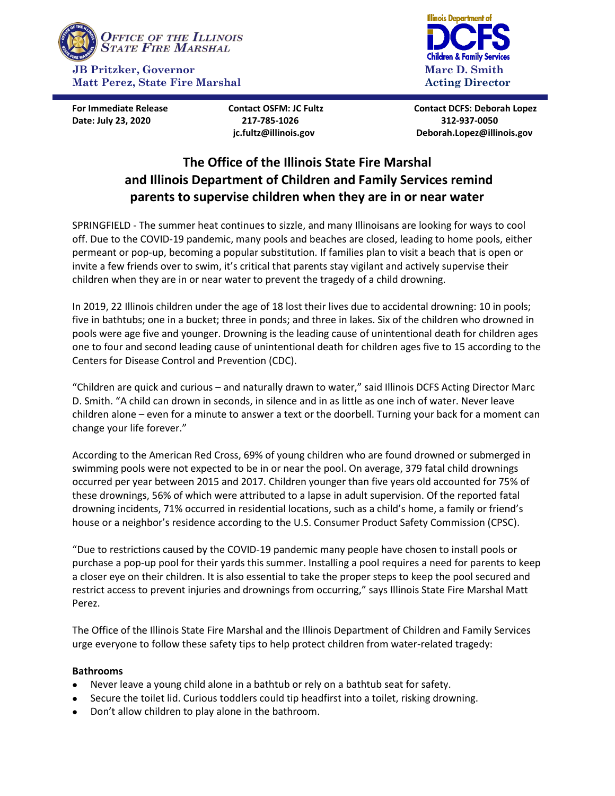

**Date: July 23, 2020 217-785-1026 312-937-0050**



**For Immediate Release Contact OSFM: JC Fultz Contact DCFS: Deborah Lopez jc.fultz@illinois.gov Deborah.Lopez@illinois.gov**

# **The Office of the Illinois State Fire Marshal and Illinois Department of Children and Family Services remind parents to supervise children when they are in or near water**

 $\overline{a}$ 

SPRINGFIELD - The summer heat continues to sizzle, and many Illinoisans are looking for ways to cool off. Due to the COVID-19 pandemic, many pools and beaches are closed, leading to home pools, either permeant or pop-up, becoming a popular substitution. If families plan to visit a beach that is open or invite a few friends over to swim, it's critical that parents stay vigilant and actively supervise their children when they are in or near water to prevent the tragedy of a child drowning.

In 2019, 22 Illinois children under the age of 18 lost their lives due to accidental drowning: 10 in pools; five in bathtubs; one in a bucket; three in ponds; and three in lakes. Six of the children who drowned in pools were age five and younger. Drowning is the leading cause of unintentional death for children ages one to four and second leading cause of unintentional death for children ages five to 15 according to the Centers for Disease Control and Prevention (CDC).

"Children are quick and curious – and naturally drawn to water," said Illinois DCFS Acting Director Marc D. Smith. "A child can drown in seconds, in silence and in as little as one inch of water. Never leave children alone – even for a minute to answer a text or the doorbell. Turning your back for a moment can change your life forever."

According to the American Red Cross, 69% of young children who are found drowned or submerged in swimming pools were not expected to be in or near the pool. On average, 379 fatal child drownings occurred per year between 2015 and 2017. Children younger than five years old accounted for 75% of these drownings, 56% of which were attributed to a lapse in adult supervision. Of the reported fatal drowning incidents, 71% occurred in residential locations, such as a child's home, a family or friend's house or a neighbor's residence according to the U.S. Consumer Product Safety Commission (CPSC).

"Due to restrictions caused by the COVID-19 pandemic many people have chosen to install pools or purchase a pop-up pool for their yards this summer. Installing a pool requires a need for parents to keep a closer eye on their children. It is also essential to take the proper steps to keep the pool secured and restrict access to prevent injuries and drownings from occurring," says Illinois State Fire Marshal Matt Perez.

The Office of the Illinois State Fire Marshal and the Illinois Department of Children and Family Services urge everyone to follow these safety tips to help protect children from water-related tragedy:

## **Bathrooms**

- Never leave a young child alone in a bathtub or rely on a bathtub seat for safety.
- Secure the toilet lid. Curious toddlers could tip headfirst into a toilet, risking drowning.
- Don't allow children to play alone in the bathroom.